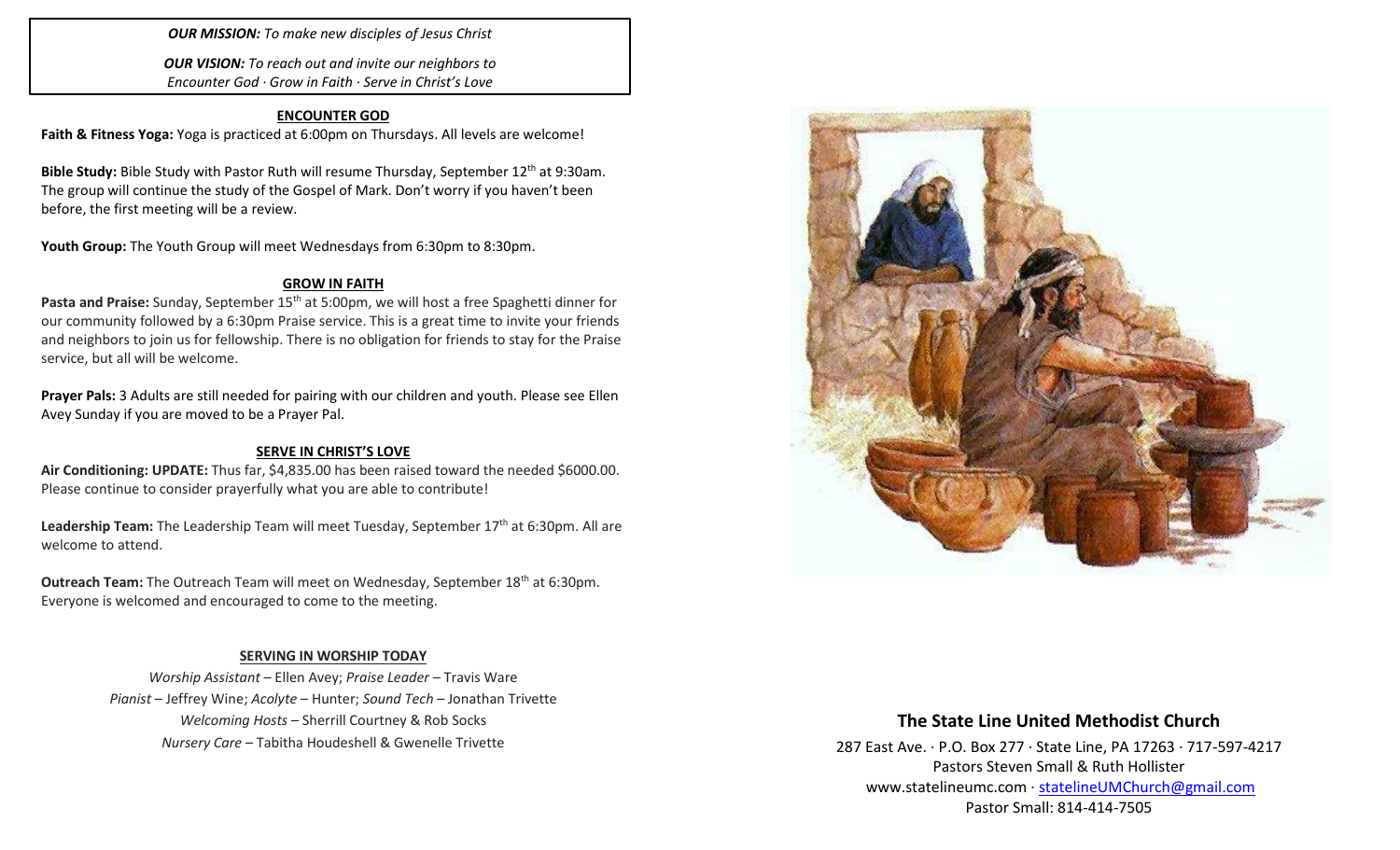### *OUR MISSION: To make new disciples of Jesus Christ*

*OUR VISION: To reach out and invite our neighbors to Encounter God · Grow in Faith · Serve in Christ's Love*

#### **ENCOUNTER GOD**

**Faith & Fitness Yoga:** Yoga is practiced at 6:00pm on Thursdays. All levels are welcome!

Bible Study: Bible Study with Pastor Ruth will resume Thursday, September 12<sup>th</sup> at 9:30am. The group will continue the study of the Gospel of Mark. Don't worry if you haven't been before, the first meeting will be a review.

Youth Group: The Youth Group will meet Wednesdays from 6:30pm to 8:30pm.

#### **GROW IN FAITH**

Pasta and Praise: Sunday, September 15<sup>th</sup> at 5:00pm, we will host a free Spaghetti dinner for our community followed by a 6:30pm Praise service. This is a great time to invite your friends and neighbors to join us for fellowship. There is no obligation for friends to stay for the Praise service, but all will be welcome.

**Prayer Pals:** 3 Adults are still needed for pairing with our children and youth. Please see Ellen Avey Sunday if you are moved to be a Prayer Pal.

#### **SERVE IN CHRIST'S LOVE**

**Air Conditioning: UPDATE:** Thus far, \$4,835.00 has been raised toward the needed \$6000.00. Please continue to consider prayerfully what you are able to contribute!

Leadership Team: The Leadership Team will meet Tuesday, September 17<sup>th</sup> at 6:30pm. All are welcome to attend.

**Outreach Team:** The Outreach Team will meet on Wednesday, September 18<sup>th</sup> at 6:30pm. Everyone is welcomed and encouraged to come to the meeting.

### **SERVING IN WORSHIP TODAY**

*Worship Assistant* – Ellen Avey; *Praise Leader* – Travis Ware *Pianist* – Jeffrey Wine; *Acolyte* – Hunter; *Sound Tech* – Jonathan Trivette *Welcoming Hosts* – Sherrill Courtney & Rob Socks *Nursery Care* – Tabitha Houdeshell & Gwenelle Trivette



# **The State Line United Methodist Church**

287 East Ave. · P.O. Box 277 · State Line, PA 17263 · 717-597-4217 Pastors Steven Small & Ruth Hollister [www.statelineumc.com](http://www.statelineumc.com/) · [statelineUMChurch@gmail.com](mailto:statelineUMChurch@gmail.com) Pastor Small: 814-414-7505